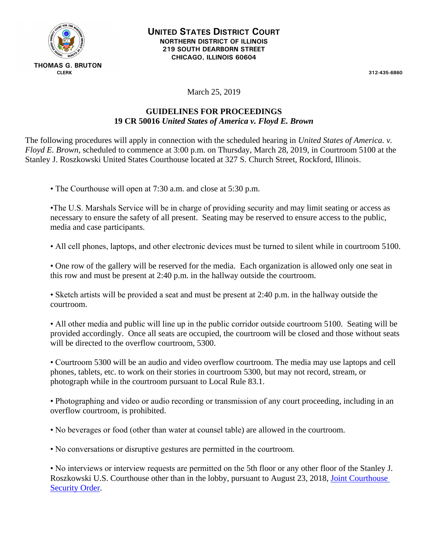

March 25, 2019

## **GUIDELINES FOR PROCEEDINGS 19 CR 50016** *United States of America v. Floyd E. Brown*

The following procedures will apply in connection with the scheduled hearing in *United States of America. v. Floyd E. Brown,* scheduled to commence at 3:00 p.m. on Thursday, March 28, 2019, in Courtroom 5100 at the Stanley J. Roszkowski United States Courthouse located at 327 S. Church Street, Rockford, Illinois.

• The Courthouse will open at 7:30 a.m. and close at 5:30 p.m.

•The U.S. Marshals Service will be in charge of providing security and may limit seating or access as necessary to ensure the safety of all present. Seating may be reserved to ensure access to the public, media and case participants.

• All cell phones, laptops, and other electronic devices must be turned to silent while in courtroom 5100.

• One row of the gallery will be reserved for the media. Each organization is allowed only one seat in this row and must be present at 2:40 p.m. in the hallway outside the courtroom.

• Sketch artists will be provided a seat and must be present at 2:40 p.m. in the hallway outside the courtroom.

• All other media and public will line up in the public corridor outside courtroom 5100. Seating will be provided accordingly. Once all seats are occupied, the courtroom will be closed and those without seats will be directed to the overflow courtroom, 5300.

• Courtroom 5300 will be an audio and video overflow courtroom. The media may use laptops and cell phones, tablets, etc. to work on their stories in courtroom 5300, but may not record, stream, or photograph while in the courtroom pursuant to Local Rule 83.1.

• Photographing and video or audio recording or transmission of any court proceeding, including in an overflow courtroom, is prohibited.

• No beverages or food (other than water at counsel table) are allowed in the courtroom.

• No conversations or disruptive gestures are permitted in the courtroom.

• No interviews or interview requests are permitted on the 5th floor or any other floor of the Stanley J. Roszkowski U.S. Courthouse other than in the lobby, pursuant to August 23, 2018, [Joint Courthouse](https://www.ilnd.uscourts.gov/_assets/_documents/Joint%20Courthouse%20Security%20Order.pdf)  [Security Order.](https://www.ilnd.uscourts.gov/_assets/_documents/Joint%20Courthouse%20Security%20Order.pdf)